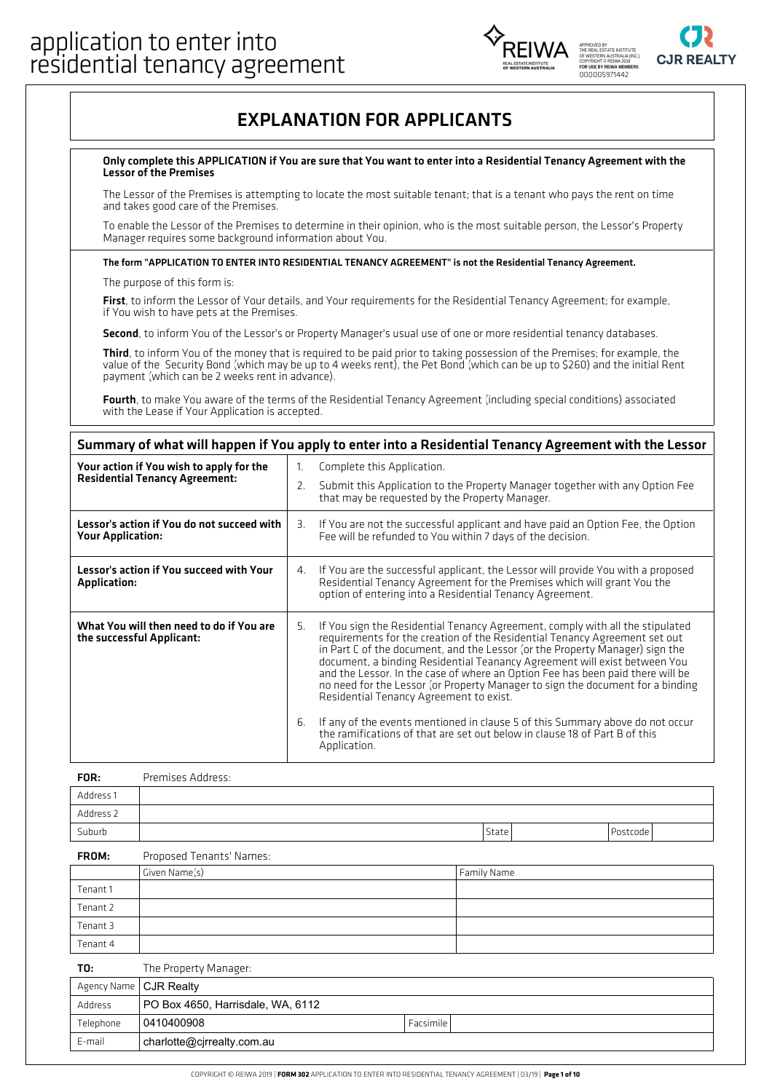



## EXPLANATION FOR APPLICANTS

#### Only complete this APPLICATION ifYou are sure that You want to enter into a Residential Tenancy Agreement with the Lessor of the Premises

The Lessor of the Premises is attempting to locate the most suitable tenant; that is a tenant who pays the rent on time and takes good care of the Premises.

To enable the Lessor of the Premises to determine in their opinion, who is the most suitable person, the Lessor's Property Manager requires some background information about You.

### The form "APPLICATION TO ENTER INTO RESIDENTIAL TENANCY AGREEMENT" is not the Residential Tenancy Agreement.

The purpose of this form is:

First, to inform the Lessor of Your details, and Your requirements for the Residential Tenancy Agreement; for example, if You wish to have pets at the Premises.

Second, to inform You of the Lessor's or Property Manager's usual use of one or more residential tenancy databases.

Third, to inform You of the money that is required to be paid prior to taking possession of the Premises; for example, the value of the Security Bond (which may be up to 4 weeks rent), the Pet Bond (which can be up to \$260) and the initial Rent payment (which can be 2 weeks rent in advance).

Fourth, to make You aware of the terms of the Residential Tenancy Agreement (including special conditions) associated<br>with the Lease if Your Application is accepted.

### Summary of what will happen if You apply to enter into a Residential Tenancy Agreement with the Lessor

| Your action if You wish to apply for the                               | Complete this Application.<br>$1_{-}$                                                                                                                                                                                                                                                                                                                                                                                                                                                                                                                                                                                                                                                                              |
|------------------------------------------------------------------------|--------------------------------------------------------------------------------------------------------------------------------------------------------------------------------------------------------------------------------------------------------------------------------------------------------------------------------------------------------------------------------------------------------------------------------------------------------------------------------------------------------------------------------------------------------------------------------------------------------------------------------------------------------------------------------------------------------------------|
| <b>Residential Tenancy Agreement:</b>                                  | Submit this Application to the Property Manager together with any Option Fee<br>2.<br>that may be requested by the Property Manager.                                                                                                                                                                                                                                                                                                                                                                                                                                                                                                                                                                               |
| Lessor's action if You do not succeed with<br><b>Your Application:</b> | If You are not the successful applicant and have paid an Option Fee, the Option<br>З.<br>Fee will be refunded to You within 7 days of the decision.                                                                                                                                                                                                                                                                                                                                                                                                                                                                                                                                                                |
| Lessor's action if You succeed with Your<br><b>Application:</b>        | If You are the successful applicant, the Lessor will provide You with a proposed<br>4.<br>Residential Tenancy Agreement for the Premises which will grant You the<br>option of entering into a Residential Tenancy Agreement.                                                                                                                                                                                                                                                                                                                                                                                                                                                                                      |
| What You will then need to do if You are<br>the successful Applicant:  | If You sign the Residential Tenancy Agreement, comply with all the stipulated<br>5.<br>requirements for the creation of the Residential Tenancy Agreement set out<br>in Part C of the document, and the Lessor (or the Property Manager) sign the<br>document, a binding Residential Teanancy Agreement will exist between You<br>and the Lessor. In the case of where an Option Fee has been paid there will be<br>no need for the Lessor (or Property Manager to sign the document for a binding<br>Residential Tenancy Agreement to exist.<br>If any of the events mentioned in clause 5 of this Summary above do not occur<br>6.<br>the ramifications of that are set out below in clause 18 of Part B of this |
|                                                                        | Application.                                                                                                                                                                                                                                                                                                                                                                                                                                                                                                                                                                                                                                                                                                       |

| FOR:      | Premises Address: |       |          |
|-----------|-------------------|-------|----------|
| Address 1 |                   |       |          |
| Address 2 |                   |       |          |
| Suburb    |                   | State | Postcode |

#### Proposed Tenants' Names: FROM:

|          | Given Name(s) | Family Name |
|----------|---------------|-------------|
| Tenant 1 |               |             |
| Tenant 2 |               |             |
| Tenant 3 |               |             |
| Tenant 4 |               |             |

| T0:                      | The Property Manager:             |           |
|--------------------------|-----------------------------------|-----------|
| Agency Name   CJR Realty |                                   |           |
| Address                  | PO Box 4650, Harrisdale, WA, 6112 |           |
| Telephone                | 0410400908                        | Facsimile |
| E-mail                   | charlotte@cirrealty.com.au        |           |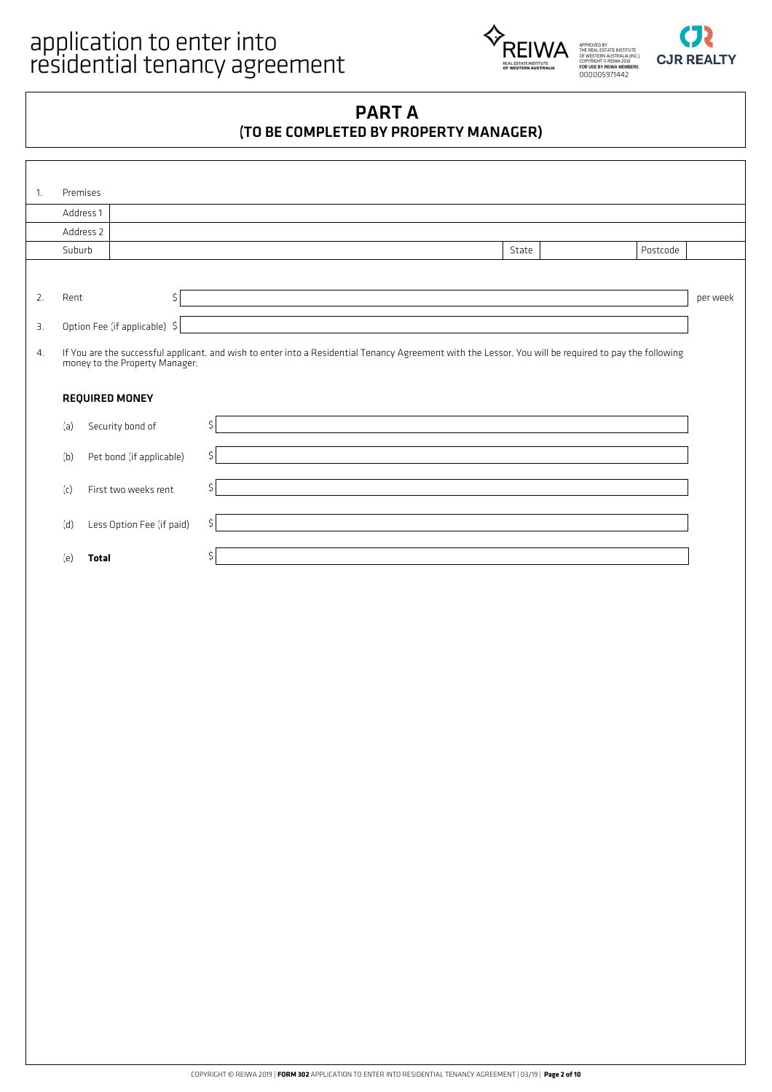



## PART A (TO BE COMPLETED BY PROPERTY MANAGER)

| 1. | Premises  |                                |                                                                                                                                                        |       |          |          |
|----|-----------|--------------------------------|--------------------------------------------------------------------------------------------------------------------------------------------------------|-------|----------|----------|
|    | Address 1 |                                |                                                                                                                                                        |       |          |          |
|    | Address 2 |                                |                                                                                                                                                        |       |          |          |
|    | Suburb    |                                |                                                                                                                                                        | State | Postcode |          |
|    |           |                                |                                                                                                                                                        |       |          |          |
| 2. | Rent      | \$                             |                                                                                                                                                        |       |          | per week |
| З. |           | Option Fee (if applicable) \$  |                                                                                                                                                        |       |          |          |
| 4. |           | money to the Property Manager: | If You are the successful applicant, and wish to enter into a Residential Tenancy Agreement with the Lessor, You will be required to pay the following |       |          |          |
|    |           | <b>REQUIRED MONEY</b>          |                                                                                                                                                        |       |          |          |
|    |           |                                |                                                                                                                                                        |       |          |          |
|    | (a)       | Security bond of               | \$                                                                                                                                                     |       |          |          |
|    | (b)       | Pet bond (if applicable)       | \$                                                                                                                                                     |       |          |          |
|    | (c)       | First two weeks rent           | \$                                                                                                                                                     |       |          |          |
|    | (d)       | Less Option Fee (if paid)      | \$                                                                                                                                                     |       |          |          |
|    | (e)       | <b>Total</b>                   |                                                                                                                                                        |       |          |          |
|    |           |                                |                                                                                                                                                        |       |          |          |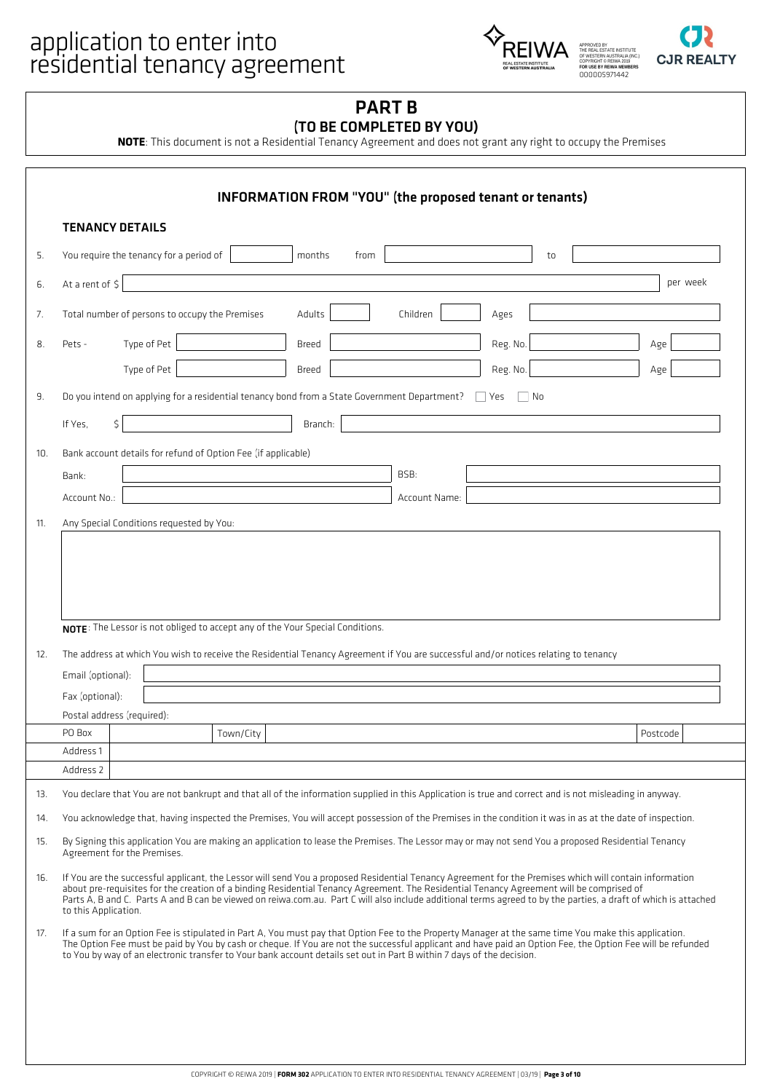# application to enter into<br>
FOREIWA





## PART B (TO BE COMPLETED BY YOU)

**NOTE**: This document is not a Residential Tenancy Agreement and does not grant any right to occupy the Premises

|                          | <b>TENANCY DETAILS</b>                                                                                                                                                                                                                                                                                                                                                                                                                                                                        |              |      |               |          |     |          |          |
|--------------------------|-----------------------------------------------------------------------------------------------------------------------------------------------------------------------------------------------------------------------------------------------------------------------------------------------------------------------------------------------------------------------------------------------------------------------------------------------------------------------------------------------|--------------|------|---------------|----------|-----|----------|----------|
| 5.                       | You require the tenancy for a period of                                                                                                                                                                                                                                                                                                                                                                                                                                                       | months       | from |               |          | to  |          |          |
| 6.                       | At a rent of \$                                                                                                                                                                                                                                                                                                                                                                                                                                                                               |              |      |               |          |     |          | per week |
| 7.                       | Total number of persons to occupy the Premises                                                                                                                                                                                                                                                                                                                                                                                                                                                | Adults       |      | Children      | Ages     |     |          |          |
| 8.                       | Type of Pet<br>Pets -                                                                                                                                                                                                                                                                                                                                                                                                                                                                         | <b>Breed</b> |      |               | Reg. No. |     | Age      |          |
|                          | Type of Pet                                                                                                                                                                                                                                                                                                                                                                                                                                                                                   | Breed        |      |               | Reg. No. |     | Age      |          |
| 9.                       | Do you intend on applying for a residential tenancy bond from a State Government Department?                                                                                                                                                                                                                                                                                                                                                                                                  |              |      |               | $ $ Yes  | No. |          |          |
|                          | \$<br>If Yes.                                                                                                                                                                                                                                                                                                                                                                                                                                                                                 | Branch:      |      |               |          |     |          |          |
| 10.                      | Bank account details for refund of Option Fee (if applicable)                                                                                                                                                                                                                                                                                                                                                                                                                                 |              |      |               |          |     |          |          |
|                          | Bank:                                                                                                                                                                                                                                                                                                                                                                                                                                                                                         |              |      | BSB:          |          |     |          |          |
|                          | Account No.:                                                                                                                                                                                                                                                                                                                                                                                                                                                                                  |              |      | Account Name: |          |     |          |          |
| 11.                      | Any Special Conditions requested by You:                                                                                                                                                                                                                                                                                                                                                                                                                                                      |              |      |               |          |     |          |          |
|                          |                                                                                                                                                                                                                                                                                                                                                                                                                                                                                               |              |      |               |          |     |          |          |
|                          | NOTE: The Lessor is not obliged to accept any of the Your Special Conditions.                                                                                                                                                                                                                                                                                                                                                                                                                 |              |      |               |          |     |          |          |
|                          | The address at which You wish to receive the Residential Tenancy Agreement if You are successful and/or notices relating to tenancy                                                                                                                                                                                                                                                                                                                                                           |              |      |               |          |     |          |          |
|                          | Email (optional):                                                                                                                                                                                                                                                                                                                                                                                                                                                                             |              |      |               |          |     |          |          |
|                          | Fax (optional):                                                                                                                                                                                                                                                                                                                                                                                                                                                                               |              |      |               |          |     |          |          |
|                          | Postal address (required):                                                                                                                                                                                                                                                                                                                                                                                                                                                                    |              |      |               |          |     |          |          |
|                          | Town/City<br>PO Box<br>Address 1                                                                                                                                                                                                                                                                                                                                                                                                                                                              |              |      |               |          |     | Postcode |          |
|                          | Address 2                                                                                                                                                                                                                                                                                                                                                                                                                                                                                     |              |      |               |          |     |          |          |
|                          | You declare that You are not bankrupt and that all of the information supplied in this Application is true and correct and is not misleading in anyway.                                                                                                                                                                                                                                                                                                                                       |              |      |               |          |     |          |          |
|                          | You acknowledge that, having inspected the Premises, You will accept possession of the Premises in the condition it was in as at the date of inspection.                                                                                                                                                                                                                                                                                                                                      |              |      |               |          |     |          |          |
| 12.<br>13.<br>14.<br>15. | By Signing this application You are making an application to lease the Premises. The Lessor may or may not send You a proposed Residential Tenancy<br>Agreement for the Premises.                                                                                                                                                                                                                                                                                                             |              |      |               |          |     |          |          |
|                          | If You are the successful applicant, the Lessor will send You a proposed Residential Tenancy Agreement for the Premises which will contain information<br>about pre-requisites for the creation of a binding Residential Tenancy Agreement. The Residential Tenancy Agreement will be comprised of<br>Parts A, B and C. Parts A and B can be viewed on reiwa.com.au. Part C will also include additional terms agreed to by the parties, a draft of which is attached<br>to this Application. |              |      |               |          |     |          |          |
|                          | If a sum for an Option Fee is stipulated in Part A, You must pay that Option Fee to the Property Manager at the same time You make this application.<br>The Option Fee must be paid by You by cash or cheque. If You are not the successful applicant and have paid an Option Fee, the Option Fee will be refunded<br>to You by way of an electronic transfer to Your bank account details set out in Part B within 7 days of the decision.                                                   |              |      |               |          |     |          |          |
| 16.<br>17.               |                                                                                                                                                                                                                                                                                                                                                                                                                                                                                               |              |      |               |          |     |          |          |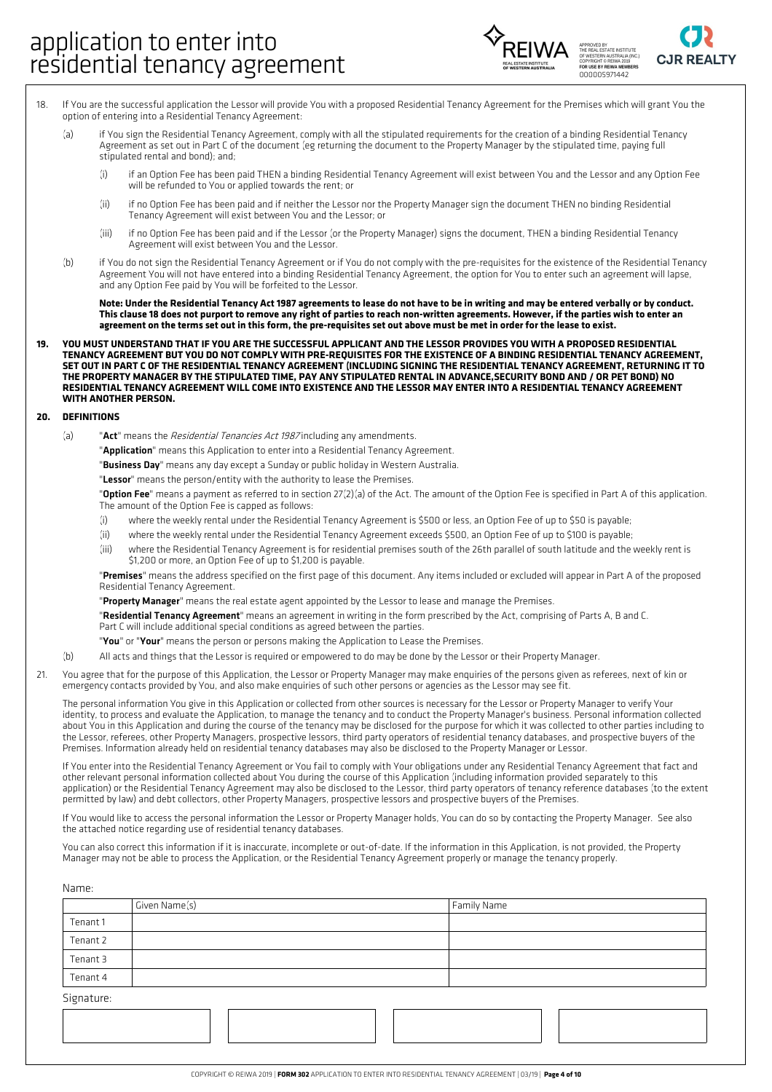



- If You are the successful application the Lessor will provide You with a proposed Residential Tenancy Agreement for the Premises which will grant You the option of entering into a Residential Tenancy Agreement: 18.
	- (a) if You sign the Residential Tenancy Agreement, comply with all the stipulated requirements for the creation of a binding Residential Tenancy Agreement as set out in Part C of the document (eg returning the document to the Property Manager by the stipulated time, paying full stipulated rental and bond); and;
		- (i) if an Option Fee has been paid THEN a binding Residential Tenancy Agreement will exist between You and the Lessor and any Option Fee will be refunded to You or applied towards the rent; or
		- if no Option Fee has been paid and if neither the Lessor nor the Property Manager sign the document THEN no binding Residential Tenancy Agreement will exist between You and the Lessor; or (ii)
		- if no Option Fee has been paid and if the Lessor (or the Property Manager) signs the document, THEN a binding Residential Tenancy Agreement will exist between You and the Lessor. (iii)
	- if You do not sign the Residential Tenancy Agreement or if You do not comply with the pre-requisites for the existence of the Residential Tenancy Agreement You will not have entered into a binding Residential Tenancy Agreement, the option for You to enter such an agreement will lapse, and any Option Fee paid by You will be forfeited to the Lessor.  $(h)$

Note: Under the Residential Tenancy Act 1987 agreements to lease do not have to be in writing and may be entered verbally or by conduct. This clause 18 does not purport to remove any right of parties to reach non-written agreements. However, if the parties wish to enter an agreement on the terms set out in this form, the pre-requisites set out above must be met in order for the lease to exist.

YOU MUST UNDERSTAND THAT IF YOU ARE THE SUCCESSFUL APPLICANT AND THE LESSOR PROVIDES YOU WITH A PROPOSED RESIDENTIAL TENANCY AGREEMENT BUT YOU DO NOT COMPLY WITH PRE-REQUISITES FOR THE EXISTENCE OF A BINDING RESIDENTIAL TENANCY AGREEMENT, SET OUT IN PART C OF THE RESIDENTIAL TENANCY AGREEMENT (INCLUDING SIGNING THE RESIDENTIAL TENANCY AGREEMENT, RETURNING IT TO THE PROPERTY MANAGER BY THE STIPULATED TIME, PAY ANY STIPULATED RENTAL IN ADVANCE, SECURITY BOND AND / OR PET BOND) NO RESIDENTIAL TENANCY AGREEMENT WILL COME INTO EXISTENCE AND THE LESSOR MAY ENTER INTO A RESIDENTIAL TENANCY AGREEMENT **WITH ANOTHER PERSON. 19.**

#### **20. DEFINITIONS**

- (a) "Act" means the Residential Tenancies Act 1987 including any amendments.
	- "**Application**" means this Application to enter into a Residential Tenancy Agreement.
	- "Business Day" means any day except a Sunday or public holiday in Western Australia.

"Lessor" means the person/entity with the authority to lease the Premises.

"Option Fee" means a payment as referred to in section 27(2)(a) of the Act. The amount of the Option Fee is specified in Part A of this application. The amount of the Option Fee is capped as follows:

- (i) where the weekly rental under the Residential Tenancy Agreement is \$500 or less, an Option Fee of up to \$50 is payable;
- (ii) where the weekly rental under the Residential Tenancy Agreement exceeds \$500, an Option Fee of up to \$100 is payable;
- where the Residential Tenancy Agreement is for residential premises south of the 26th parallel of south latitude and the weekly rent is \$1,200 or more, an Option Fee of up to \$1,200 is payable. (iii)

"Premises" means the address specified on the first page of this document. Any items included or excluded will appear in Part A of the proposed Residential Tenancy Agreement.

"Property Manager" means the real estate agent appointed by the Lessor to lease and manage the Premises.

"Residential Tenancy Agreement" means an agreement in writing in the form prescribed by the Act, comprising of Parts A, B and C. Part C will include additional special conditions as agreed between the parties.

- "You" or "Your" means the person or persons making the Application to Lease the Premises.
- (b) All acts and things that the Lessor is required or empowered to do may be done by the Lessor or their Property Manager.
- You agree that for the purpose of this Application, the Lessor or Property Manager may make enquiries of the persons given as referees, next of kin or emergency contacts provided by You, and also make enquiries of such other persons or agencies as the Lessor may see fit. 21.

The personal information You give in this Application or collected from other sources is necessary for the Lessor or Property Manager to verify Your identity, to process and evaluate the Application, to manage the tenancy and to conduct the Property Manager's business. Personal information collected about You in this Application and during the course of the tenancy may be disclosed for the purpose for which it was collected to other parties including to the Lessor, referees, other Property Managers, prospective lessors, third party operators of residential tenancy databases, and prospective buyers of the Premises. Information already held on residential tenancy databases may also be disclosed to the Property Manager or Lessor.

If You enter into the Residential Tenancy Agreement or You fail to comply with Your obligations under any Residential Tenancy Agreement that fact and other relevant personal information collected about You during the course of this Application (including information provided separately to this application) or the Residential Tenancy Agreement may also be disclosed to the Lessor, third party operators of tenancy reference databases (to the extent permitted by law) and debt collectors, other Property Managers, prospective lessors and prospective buyers of the Premises.

If You would like to access the personal information the Lessor or Property Manager holds, You can do so by contacting the Property Manager. See also the attached notice regarding use of residential tenancy databases.

You can also correct this information if it is inaccurate, incomplete or out-of-date. If the information in this Application, is not provided, the Property Manager may not be able to process the Application, or the Residential Tenancy Agreement properly or manage the tenancy properly.

| Name:      |               |             |
|------------|---------------|-------------|
|            | Given Name(s) | Family Name |
| Tenant 1   |               |             |
| Tenant 2   |               |             |
| Tenant 3   |               |             |
| Tenant 4   |               |             |
| Signature: |               |             |
|            |               |             |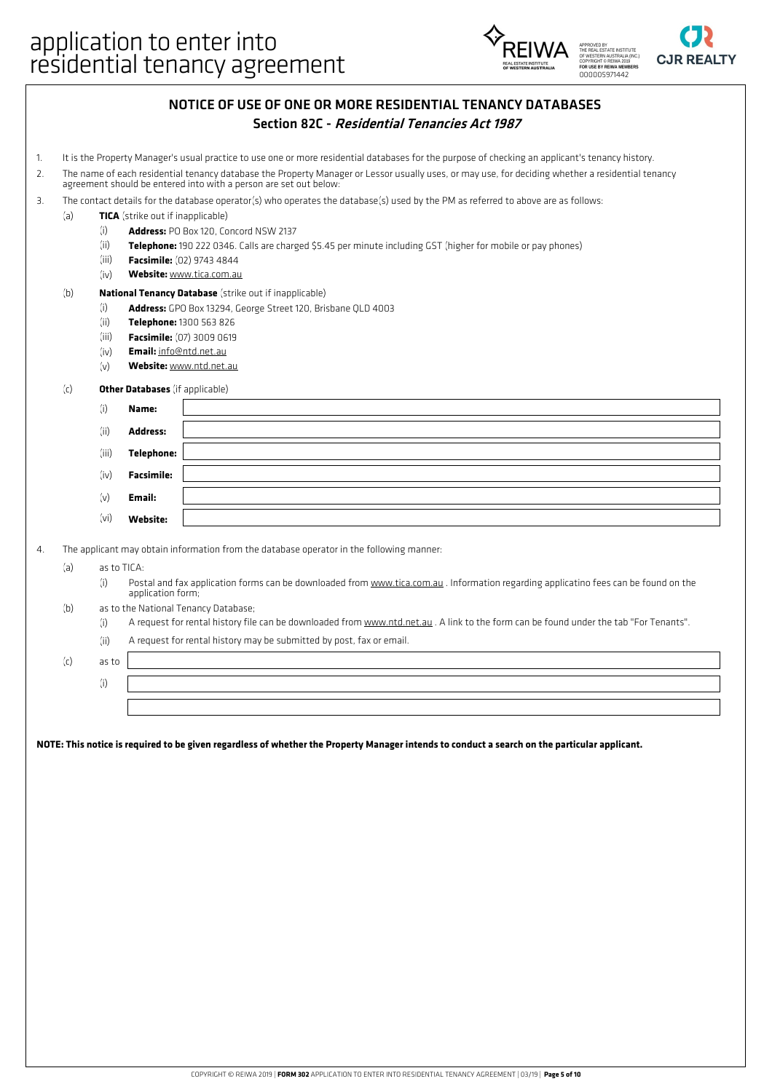



## NOTICE OF USE OF ONE OR MORE RESIDENTIAL TENANCY DATABASES Section 82C - Residential Tenancies Act <sup>1987</sup>

- 1. It is the Property Manager's usual practice to use one or more residential databases for the purpose of checking an applicant's tenancy history.
- The name of each residential tenancy database the Property Manager or Lessor usually uses, or may use, for deciding whether <sup>a</sup> residential tenancy agreement should be entered into with <sup>a</sup> person are set out below: 2.
- 3. The contact details for the database operator(s) who operates the database(s) used by the PM as referred to above are as follows:
- (a) **TICA** (strike out if inapplicable)
	- (i) **Address:** PO Box 120, Concord NSW 2137
	- (ii) **Telephone:** 190 222 0346. Calls are charged \$5.45 per minute including GST (higher for mobile or pay phones)
	- (iii) **Facsimile:** (02) 9743 4844
	- (iv) **Website:** www.tica.com.au

### (b) **National Tenancy Database** (strike out if inapplicable)

- (i) **Address:** GPO Box 13294, George Street 120, Brisbane QLD 4003
	- (ii) **Telephone:** 1300 563 826
	- (iii) **Facsimile:** (07) 3009 0619
	- (iv) **Email:** info@ntd.net.au
	- (v) **Website:** www.ntd.net.au

### (c) **Other Databases** (if applicable)

| (i)   | Name:             |  |
|-------|-------------------|--|
| (ii)  | <b>Address:</b>   |  |
| (iii) | <b>Telephone:</b> |  |
| (iv)  | <b>Facsimile:</b> |  |
| (v)   | Email:            |  |
| (vi)  | Website:          |  |

4. The applicant may obtain information from the database operator in the following manner:

(a) as to TICA:

(i) Postal and fax application forms can be downloaded from www.tica.com.au . Information regarding applicatino fees can be found on the application form;

- (b) as to the National Tenancy Database;
	- (i) A request for rental history file can be downloaded from www.ntd.net.au . A link to the form can be found under the tab "For Tenants".
	- (ii) A request for rental history may be submitted by post, fax or email.

(c) as to

(i)

NOTE: This notice is required to be given regardless of whether the Property Manager intends to conduct a search on the particular applicant.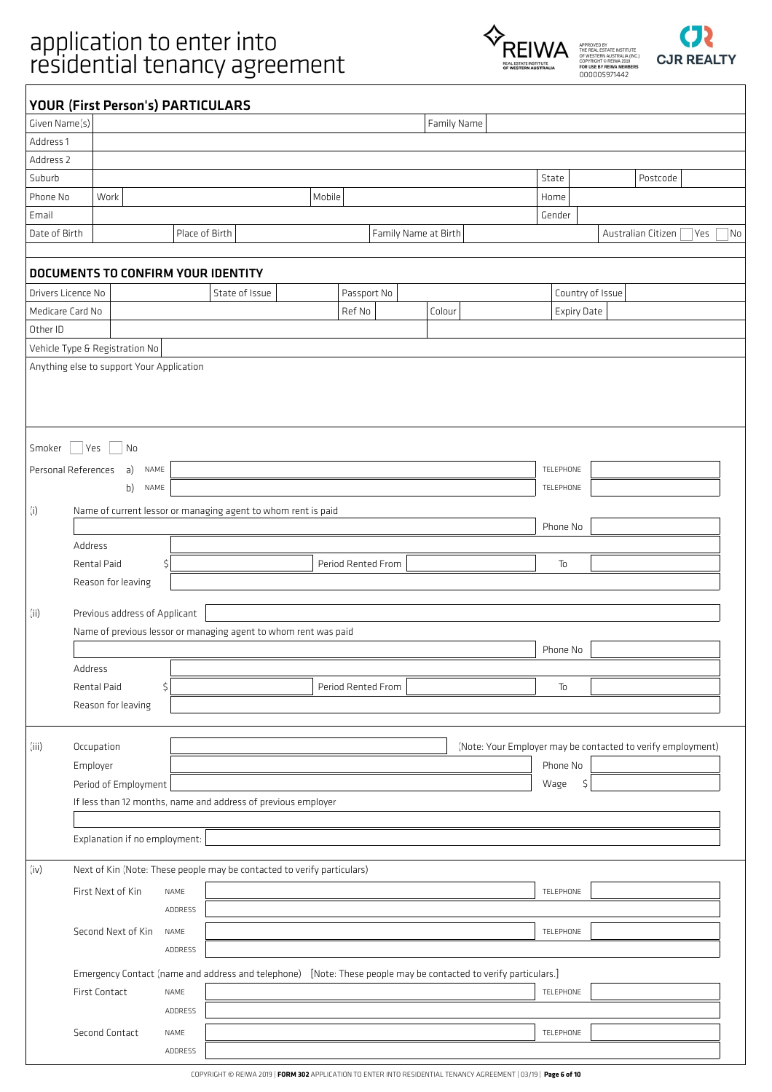# application to enter into<br>
FOREIWA

ADDRESS





|                    | <b>YOUR (First Person's) PARTICULARS</b>  |                |                                                                                                                 |        |                    |                      |                    |                                                             |
|--------------------|-------------------------------------------|----------------|-----------------------------------------------------------------------------------------------------------------|--------|--------------------|----------------------|--------------------|-------------------------------------------------------------|
| Given Name(s)      |                                           |                |                                                                                                                 |        |                    | Family Name          |                    |                                                             |
| Address 1          |                                           |                |                                                                                                                 |        |                    |                      |                    |                                                             |
| Address 2          |                                           |                |                                                                                                                 |        |                    |                      |                    |                                                             |
| Suburb             |                                           |                |                                                                                                                 |        |                    |                      | State              | Postcode                                                    |
| Phone No           | Work                                      |                |                                                                                                                 | Mobile |                    |                      | Home               |                                                             |
| Email              |                                           |                |                                                                                                                 |        |                    |                      | Gender             |                                                             |
| Date of Birth      |                                           | Place of Birth |                                                                                                                 |        |                    | Family Name at Birth |                    | Australian Citizen<br>Yes<br>No                             |
|                    | DOCUMENTS TO CONFIRM YOUR IDENTITY        |                |                                                                                                                 |        |                    |                      |                    |                                                             |
| Drivers Licence No |                                           |                | State of Issue                                                                                                  |        | Passport No        |                      |                    | Country of Issue                                            |
| Medicare Card No   |                                           |                |                                                                                                                 |        | Ref No             | Colour               | <b>Expiry Date</b> |                                                             |
| Other ID           |                                           |                |                                                                                                                 |        |                    |                      |                    |                                                             |
|                    | Vehicle Type & Registration No            |                |                                                                                                                 |        |                    |                      |                    |                                                             |
|                    | Anything else to support Your Application |                |                                                                                                                 |        |                    |                      |                    |                                                             |
|                    |                                           |                |                                                                                                                 |        |                    |                      |                    |                                                             |
| Smoker             | Yes<br>No                                 |                |                                                                                                                 |        |                    |                      |                    |                                                             |
|                    | Personal References<br>a)<br>NAME         |                |                                                                                                                 |        |                    |                      | TELEPHONE          |                                                             |
|                    | b) NAME                                   |                |                                                                                                                 |        |                    |                      | TELEPHONE          |                                                             |
| (i)                |                                           |                | Name of current lessor or managing agent to whom rent is paid                                                   |        |                    |                      |                    |                                                             |
|                    |                                           |                |                                                                                                                 |        |                    |                      | Phone No           |                                                             |
|                    | Address                                   |                |                                                                                                                 |        |                    |                      |                    |                                                             |
|                    | Rental Paid                               | \$             |                                                                                                                 |        | Period Rented From |                      | To                 |                                                             |
|                    | Reason for leaving                        |                |                                                                                                                 |        |                    |                      |                    |                                                             |
| (ii)               | Previous address of Applicant             |                | Name of previous lessor or managing agent to whom rent was paid                                                 |        |                    |                      |                    |                                                             |
|                    |                                           |                |                                                                                                                 |        |                    |                      | Phone No           |                                                             |
|                    | Address                                   |                |                                                                                                                 |        |                    |                      |                    |                                                             |
|                    | Rental Paid                               | \$             |                                                                                                                 |        | Period Rented From |                      | To                 |                                                             |
|                    | Reason for leaving                        |                |                                                                                                                 |        |                    |                      |                    |                                                             |
|                    |                                           |                |                                                                                                                 |        |                    |                      |                    |                                                             |
| (iii)              | Occupation                                |                |                                                                                                                 |        |                    |                      |                    | (Note: Your Employer may be contacted to verify employment) |
|                    | Employer                                  |                |                                                                                                                 |        |                    |                      | Phone No           |                                                             |
|                    | Period of Employment                      |                |                                                                                                                 |        |                    |                      | \$<br>Wage         |                                                             |
|                    |                                           |                | If less than 12 months, name and address of previous employer                                                   |        |                    |                      |                    |                                                             |
|                    | Explanation if no employment:             |                |                                                                                                                 |        |                    |                      |                    |                                                             |
| (iv)               |                                           |                | Next of Kin (Note: These people may be contacted to verify particulars)                                         |        |                    |                      |                    |                                                             |
|                    | First Next of Kin                         | NAME           |                                                                                                                 |        |                    |                      | TELEPHONE          |                                                             |
|                    |                                           | ADDRESS        |                                                                                                                 |        |                    |                      |                    |                                                             |
|                    | Second Next of Kin                        | NAME           |                                                                                                                 |        |                    |                      | TELEPHONE          |                                                             |
|                    |                                           | ADDRESS        |                                                                                                                 |        |                    |                      |                    |                                                             |
|                    |                                           |                |                                                                                                                 |        |                    |                      |                    |                                                             |
|                    | First Contact                             | NAME           | Emergency Contact (name and address and telephone) [Note: These people may be contacted to verify particulars.] |        |                    |                      | TELEPHONE          |                                                             |
|                    |                                           | ADDRESS        |                                                                                                                 |        |                    |                      |                    |                                                             |
|                    |                                           |                |                                                                                                                 |        |                    |                      |                    |                                                             |
|                    | Second Contact                            | NAME           |                                                                                                                 |        |                    |                      | TELEPHONE          |                                                             |

COPYRIGHT © REIWA 2019 | **FORM 302** APPLICATION TO ENTER INTO RESIDENTIAL TENANCY AGREEMENT | 03/19 | **Page 6 of 10**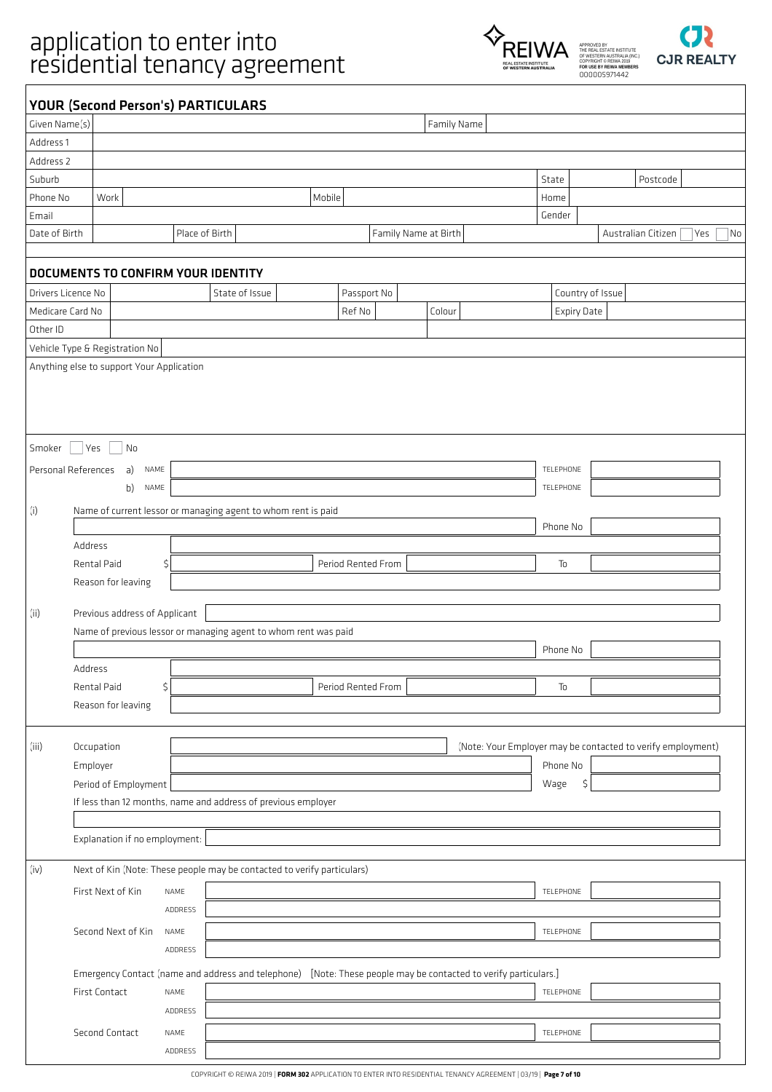# application to enter into<br>
FOREIWA

ADDRESS





|                    | <b>YOUR (Second Person's) PARTICULARS</b>                                                                       |                |                |        |                    |                      |        |             |       |                    |                                                             |
|--------------------|-----------------------------------------------------------------------------------------------------------------|----------------|----------------|--------|--------------------|----------------------|--------|-------------|-------|--------------------|-------------------------------------------------------------|
| Given Name(s)      |                                                                                                                 |                |                |        |                    |                      |        | Family Name |       |                    |                                                             |
| Address 1          |                                                                                                                 |                |                |        |                    |                      |        |             |       |                    |                                                             |
| Address 2          |                                                                                                                 |                |                |        |                    |                      |        |             |       |                    |                                                             |
| Suburb             |                                                                                                                 |                |                |        |                    |                      |        |             | State |                    | Postcode                                                    |
| Phone No           | Work                                                                                                            |                |                | Mobile |                    |                      |        |             | Home  |                    |                                                             |
| Email              |                                                                                                                 |                |                |        |                    |                      |        |             |       | Gender             |                                                             |
| Date of Birth      |                                                                                                                 | Place of Birth |                |        |                    | Family Name at Birth |        |             |       |                    | Australian Citizen<br>No<br>Yes                             |
|                    |                                                                                                                 |                |                |        |                    |                      |        |             |       |                    |                                                             |
|                    | <b>DOCUMENTS TO CONFIRM YOUR IDENTITY</b>                                                                       |                |                |        |                    |                      |        |             |       |                    |                                                             |
| Drivers Licence No |                                                                                                                 |                | State of Issue |        | Passport No        |                      |        |             |       |                    | Country of Issue                                            |
| Medicare Card No   |                                                                                                                 |                |                |        | Ref No             |                      | Colour |             |       | <b>Expiry Date</b> |                                                             |
| Other ID           |                                                                                                                 |                |                |        |                    |                      |        |             |       |                    |                                                             |
|                    | Vehicle Type & Registration No                                                                                  |                |                |        |                    |                      |        |             |       |                    |                                                             |
|                    | Anything else to support Your Application                                                                       |                |                |        |                    |                      |        |             |       |                    |                                                             |
|                    |                                                                                                                 |                |                |        |                    |                      |        |             |       |                    |                                                             |
|                    |                                                                                                                 |                |                |        |                    |                      |        |             |       |                    |                                                             |
|                    |                                                                                                                 |                |                |        |                    |                      |        |             |       |                    |                                                             |
| Smoker             | <b>Yes</b><br>  No                                                                                              |                |                |        |                    |                      |        |             |       |                    |                                                             |
|                    | Personal References<br>a)                                                                                       | NAME           |                |        |                    |                      |        |             |       | TELEPHONE          |                                                             |
|                    | b)                                                                                                              | NAME           |                |        |                    |                      |        |             |       | TELEPHONE          |                                                             |
|                    |                                                                                                                 |                |                |        |                    |                      |        |             |       |                    |                                                             |
| (i)                | Name of current lessor or managing agent to whom rent is paid                                                   |                |                |        |                    |                      |        |             |       | Phone No           |                                                             |
|                    | Address                                                                                                         |                |                |        |                    |                      |        |             |       |                    |                                                             |
|                    | Rental Paid                                                                                                     |                |                |        | Period Rented From |                      |        |             |       | To                 |                                                             |
|                    |                                                                                                                 | \$             |                |        |                    |                      |        |             |       |                    |                                                             |
|                    | Reason for leaving                                                                                              |                |                |        |                    |                      |        |             |       |                    |                                                             |
| (ii)               | Previous address of Applicant                                                                                   |                |                |        |                    |                      |        |             |       |                    |                                                             |
|                    | Name of previous lessor or managing agent to whom rent was paid                                                 |                |                |        |                    |                      |        |             |       |                    |                                                             |
|                    |                                                                                                                 |                |                |        |                    |                      |        |             |       | Phone No           |                                                             |
|                    | Address                                                                                                         |                |                |        |                    |                      |        |             |       |                    |                                                             |
|                    | Rental Paid                                                                                                     | \$             |                |        | Period Rented From |                      |        |             |       | To                 |                                                             |
|                    | Reason for leaving                                                                                              |                |                |        |                    |                      |        |             |       |                    |                                                             |
|                    |                                                                                                                 |                |                |        |                    |                      |        |             |       |                    |                                                             |
| (iii)              | Occupation                                                                                                      |                |                |        |                    |                      |        |             |       |                    | (Note: Your Employer may be contacted to verify employment) |
|                    | Employer                                                                                                        |                |                |        |                    |                      |        |             |       | Phone No           |                                                             |
|                    | Period of Employment                                                                                            |                |                |        |                    |                      |        |             |       | Wage<br>\$         |                                                             |
|                    | If less than 12 months, name and address of previous employer                                                   |                |                |        |                    |                      |        |             |       |                    |                                                             |
|                    |                                                                                                                 |                |                |        |                    |                      |        |             |       |                    |                                                             |
|                    | Explanation if no employment:                                                                                   |                |                |        |                    |                      |        |             |       |                    |                                                             |
|                    |                                                                                                                 |                |                |        |                    |                      |        |             |       |                    |                                                             |
| (iv)               | Next of Kin (Note: These people may be contacted to verify particulars)                                         |                |                |        |                    |                      |        |             |       |                    |                                                             |
|                    | First Next of Kin                                                                                               | NAME           |                |        |                    |                      |        |             |       | TELEPHONE          |                                                             |
|                    |                                                                                                                 | ADDRESS        |                |        |                    |                      |        |             |       |                    |                                                             |
|                    | Second Next of Kin                                                                                              | NAME           |                |        |                    |                      |        |             |       | TELEPHONE          |                                                             |
|                    |                                                                                                                 | ADDRESS        |                |        |                    |                      |        |             |       |                    |                                                             |
|                    | Emergency Contact (name and address and telephone) [Note: These people may be contacted to verify particulars.] |                |                |        |                    |                      |        |             |       |                    |                                                             |
|                    | First Contact                                                                                                   | NAME           |                |        |                    |                      |        |             |       | TELEPHONE          |                                                             |
|                    |                                                                                                                 | ADDRESS        |                |        |                    |                      |        |             |       |                    |                                                             |
|                    | Second Contact                                                                                                  | NAME           |                |        |                    |                      |        |             |       | TELEPHONE          |                                                             |
|                    |                                                                                                                 |                |                |        |                    |                      |        |             |       |                    |                                                             |

COPYRIGHT © REIWA 2019 | **FORM 302** APPLICATION TO ENTER INTO RESIDENTIAL TENANCY AGREEMENT | 03/19 | **Page 7 of 10**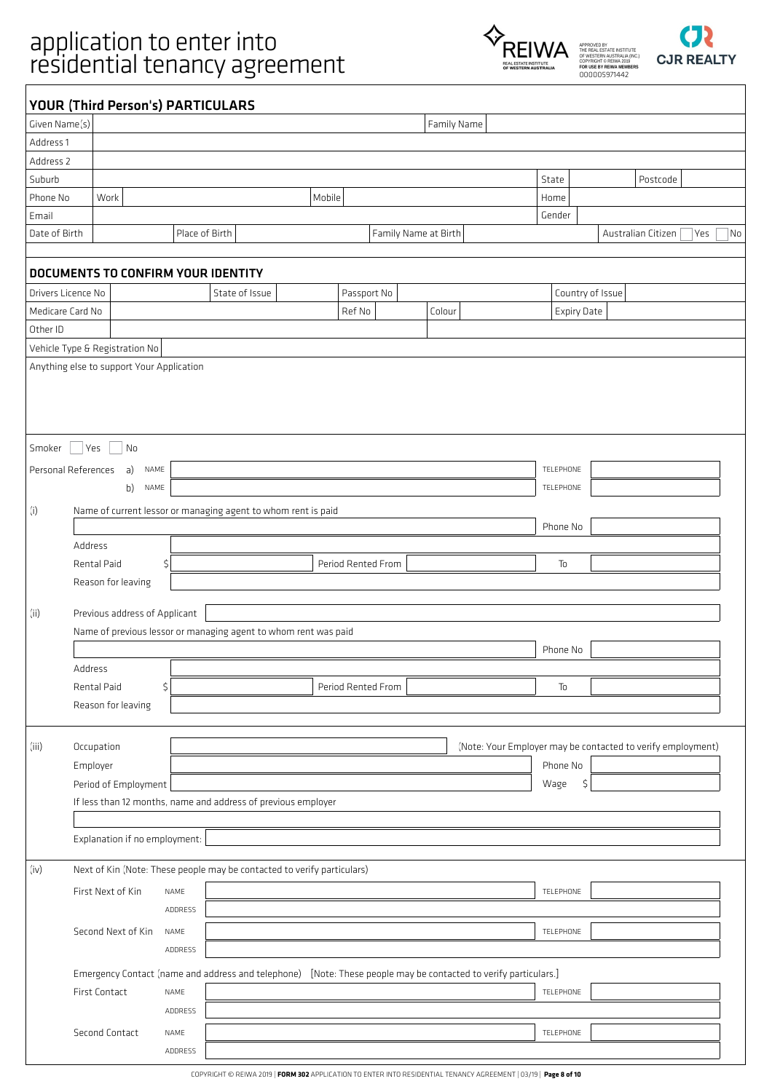



|                    | <b>YOUR (Third Person's) PARTICULARS</b>  |                |                                                                                                                 |        |                    |                      |                                                             |        |                    |                    |          |                                 |
|--------------------|-------------------------------------------|----------------|-----------------------------------------------------------------------------------------------------------------|--------|--------------------|----------------------|-------------------------------------------------------------|--------|--------------------|--------------------|----------|---------------------------------|
| Given Name(s)      |                                           |                |                                                                                                                 |        |                    | Family Name          |                                                             |        |                    |                    |          |                                 |
| Address 1          |                                           |                |                                                                                                                 |        |                    |                      |                                                             |        |                    |                    |          |                                 |
| Address 2          |                                           |                |                                                                                                                 |        |                    |                      |                                                             |        |                    |                    |          |                                 |
| Suburb             |                                           |                |                                                                                                                 |        |                    |                      |                                                             | State  |                    |                    | Postcode |                                 |
| Phone No           | Work                                      |                |                                                                                                                 | Mobile |                    |                      |                                                             | Home   |                    |                    |          |                                 |
| Email              |                                           |                |                                                                                                                 |        |                    |                      |                                                             | Gender |                    |                    |          |                                 |
| Date of Birth      |                                           | Place of Birth |                                                                                                                 |        |                    | Family Name at Birth |                                                             |        |                    | Australian Citizen |          | Yes<br>$\overline{\mathsf{No}}$ |
|                    |                                           |                |                                                                                                                 |        |                    |                      |                                                             |        |                    |                    |          |                                 |
|                    | DOCUMENTS TO CONFIRM YOUR IDENTITY        |                |                                                                                                                 |        |                    |                      |                                                             |        |                    |                    |          |                                 |
| Drivers Licence No |                                           |                | State of Issue                                                                                                  |        | Passport No        |                      |                                                             |        |                    | Country of Issue   |          |                                 |
| Medicare Card No   |                                           |                |                                                                                                                 |        | Ref No             | Colour               |                                                             |        | <b>Expiry Date</b> |                    |          |                                 |
| Other ID           |                                           |                |                                                                                                                 |        |                    |                      |                                                             |        |                    |                    |          |                                 |
|                    | Vehicle Type & Registration No            |                |                                                                                                                 |        |                    |                      |                                                             |        |                    |                    |          |                                 |
|                    | Anything else to support Your Application |                |                                                                                                                 |        |                    |                      |                                                             |        |                    |                    |          |                                 |
|                    |                                           |                |                                                                                                                 |        |                    |                      |                                                             |        |                    |                    |          |                                 |
|                    |                                           |                |                                                                                                                 |        |                    |                      |                                                             |        |                    |                    |          |                                 |
|                    |                                           |                |                                                                                                                 |        |                    |                      |                                                             |        |                    |                    |          |                                 |
|                    |                                           |                |                                                                                                                 |        |                    |                      |                                                             |        |                    |                    |          |                                 |
| Smoker             | <b>Yes</b><br>  No                        |                |                                                                                                                 |        |                    |                      |                                                             |        |                    |                    |          |                                 |
|                    | Personal References<br>a)<br>NAME         |                |                                                                                                                 |        |                    |                      |                                                             |        | TELEPHONE          |                    |          |                                 |
|                    | b)<br>NAME                                |                |                                                                                                                 |        |                    |                      |                                                             |        | TELEPHONE          |                    |          |                                 |
| (i)                |                                           |                | Name of current lessor or managing agent to whom rent is paid                                                   |        |                    |                      |                                                             |        |                    |                    |          |                                 |
|                    |                                           |                |                                                                                                                 |        |                    |                      |                                                             |        | Phone No           |                    |          |                                 |
|                    | Address                                   |                |                                                                                                                 |        |                    |                      |                                                             |        |                    |                    |          |                                 |
|                    | Rental Paid                               | \$             |                                                                                                                 |        | Period Rented From |                      |                                                             |        | To                 |                    |          |                                 |
|                    | Reason for leaving                        |                |                                                                                                                 |        |                    |                      |                                                             |        |                    |                    |          |                                 |
|                    |                                           |                |                                                                                                                 |        |                    |                      |                                                             |        |                    |                    |          |                                 |
| (ii)               | Previous address of Applicant             |                |                                                                                                                 |        |                    |                      |                                                             |        |                    |                    |          |                                 |
|                    |                                           |                | Name of previous lessor or managing agent to whom rent was paid                                                 |        |                    |                      |                                                             |        |                    |                    |          |                                 |
|                    |                                           |                |                                                                                                                 |        |                    |                      |                                                             |        | Phone No           |                    |          |                                 |
|                    | Address                                   |                |                                                                                                                 |        |                    |                      |                                                             |        |                    |                    |          |                                 |
|                    | Rental Paid                               | \$             |                                                                                                                 |        | Period Rented From |                      |                                                             |        | To                 |                    |          |                                 |
|                    | Reason for leaving                        |                |                                                                                                                 |        |                    |                      |                                                             |        |                    |                    |          |                                 |
|                    |                                           |                |                                                                                                                 |        |                    |                      |                                                             |        |                    |                    |          |                                 |
| (iii)              | Occupation                                |                |                                                                                                                 |        |                    |                      | (Note: Your Employer may be contacted to verify employment) |        |                    |                    |          |                                 |
|                    | Employer                                  |                |                                                                                                                 |        |                    |                      |                                                             |        | Phone No           |                    |          |                                 |
|                    | Period of Employment                      |                |                                                                                                                 |        |                    |                      |                                                             | Wage   | \$                 |                    |          |                                 |
|                    |                                           |                | If less than 12 months, name and address of previous employer                                                   |        |                    |                      |                                                             |        |                    |                    |          |                                 |
|                    |                                           |                |                                                                                                                 |        |                    |                      |                                                             |        |                    |                    |          |                                 |
|                    | Explanation if no employment:             |                |                                                                                                                 |        |                    |                      |                                                             |        |                    |                    |          |                                 |
|                    |                                           |                |                                                                                                                 |        |                    |                      |                                                             |        |                    |                    |          |                                 |
| (iv)               |                                           |                | Next of Kin (Note: These people may be contacted to verify particulars)                                         |        |                    |                      |                                                             |        |                    |                    |          |                                 |
|                    | First Next of Kin                         | NAME           |                                                                                                                 |        |                    |                      |                                                             |        | TELEPHONE          |                    |          |                                 |
|                    |                                           | ADDRESS        |                                                                                                                 |        |                    |                      |                                                             |        |                    |                    |          |                                 |
|                    |                                           |                |                                                                                                                 |        |                    |                      |                                                             |        |                    |                    |          |                                 |
|                    | Second Next of Kin                        | NAME           |                                                                                                                 |        |                    |                      |                                                             |        | TELEPHONE          |                    |          |                                 |
|                    |                                           | ADDRESS        |                                                                                                                 |        |                    |                      |                                                             |        |                    |                    |          |                                 |
|                    |                                           |                | Emergency Contact (name and address and telephone) [Note: These people may be contacted to verify particulars.] |        |                    |                      |                                                             |        |                    |                    |          |                                 |
|                    | First Contact                             | NAME           |                                                                                                                 |        |                    |                      |                                                             |        | TELEPHONE          |                    |          |                                 |
|                    |                                           | ADDRESS        |                                                                                                                 |        |                    |                      |                                                             |        |                    |                    |          |                                 |
|                    | Second Contact                            | NAME           |                                                                                                                 |        |                    |                      |                                                             |        | TELEPHONE          |                    |          |                                 |
|                    |                                           | ADDRESS        |                                                                                                                 |        |                    |                      |                                                             |        |                    |                    |          |                                 |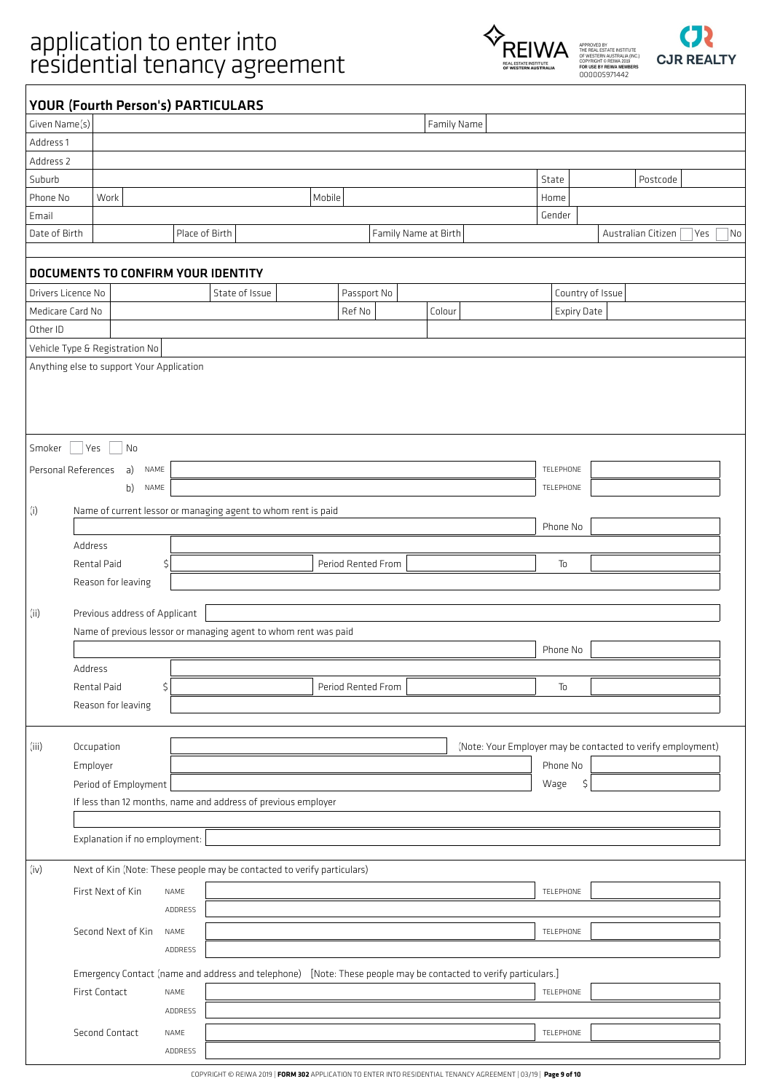



|                    |                                           | <b>YOUR (Fourth Person's) PARTICULARS</b>                                                                       |                    |                      |             |                    |                                                             |     |    |
|--------------------|-------------------------------------------|-----------------------------------------------------------------------------------------------------------------|--------------------|----------------------|-------------|--------------------|-------------------------------------------------------------|-----|----|
| Given Name(s)      |                                           |                                                                                                                 |                    |                      | Family Name |                    |                                                             |     |    |
| Address 1          |                                           |                                                                                                                 |                    |                      |             |                    |                                                             |     |    |
| Address 2          |                                           |                                                                                                                 |                    |                      |             |                    |                                                             |     |    |
| Suburb             |                                           |                                                                                                                 |                    |                      |             | State              | Postcode                                                    |     |    |
| Phone No           | Work                                      |                                                                                                                 | Mobile             |                      |             | Home               |                                                             |     |    |
| Email              |                                           |                                                                                                                 |                    |                      |             | Gender             |                                                             |     |    |
| Date of Birth      |                                           | Place of Birth                                                                                                  |                    | Family Name at Birth |             |                    | Australian Citizen                                          | Yes | No |
|                    |                                           |                                                                                                                 |                    |                      |             |                    |                                                             |     |    |
|                    |                                           | <b>DOCUMENTS TO CONFIRM YOUR IDENTITY</b>                                                                       |                    |                      |             |                    |                                                             |     |    |
| Drivers Licence No |                                           | State of Issue                                                                                                  |                    | Passport No          |             |                    | Country of Issue                                            |     |    |
| Medicare Card No   |                                           |                                                                                                                 | Ref No             |                      | Colour      | <b>Expiry Date</b> |                                                             |     |    |
| Other ID           |                                           |                                                                                                                 |                    |                      |             |                    |                                                             |     |    |
|                    | Vehicle Type & Registration No            |                                                                                                                 |                    |                      |             |                    |                                                             |     |    |
|                    | Anything else to support Your Application |                                                                                                                 |                    |                      |             |                    |                                                             |     |    |
|                    |                                           |                                                                                                                 |                    |                      |             |                    |                                                             |     |    |
|                    |                                           |                                                                                                                 |                    |                      |             |                    |                                                             |     |    |
|                    |                                           |                                                                                                                 |                    |                      |             |                    |                                                             |     |    |
|                    |                                           |                                                                                                                 |                    |                      |             |                    |                                                             |     |    |
| Smoker             | <b>Yes</b><br>No                          |                                                                                                                 |                    |                      |             |                    |                                                             |     |    |
|                    | Personal References<br>a)<br>NAME         |                                                                                                                 |                    |                      |             | TELEPHONE          |                                                             |     |    |
|                    | b)<br>NAME                                |                                                                                                                 |                    |                      |             | TELEPHONE          |                                                             |     |    |
| (i)                |                                           | Name of current lessor or managing agent to whom rent is paid                                                   |                    |                      |             |                    |                                                             |     |    |
|                    |                                           |                                                                                                                 |                    |                      |             | Phone No           |                                                             |     |    |
|                    | Address                                   |                                                                                                                 |                    |                      |             |                    |                                                             |     |    |
|                    | Rental Paid                               | \$                                                                                                              | Period Rented From |                      |             | To                 |                                                             |     |    |
|                    | Reason for leaving                        |                                                                                                                 |                    |                      |             |                    |                                                             |     |    |
|                    |                                           |                                                                                                                 |                    |                      |             |                    |                                                             |     |    |
| (ii)               | Previous address of Applicant             |                                                                                                                 |                    |                      |             |                    |                                                             |     |    |
|                    |                                           | Name of previous lessor or managing agent to whom rent was paid                                                 |                    |                      |             |                    |                                                             |     |    |
|                    |                                           |                                                                                                                 |                    |                      |             | Phone No           |                                                             |     |    |
|                    | Address                                   |                                                                                                                 |                    |                      |             |                    |                                                             |     |    |
|                    | Rental Paid                               | \$                                                                                                              | Period Rented From |                      |             | To                 |                                                             |     |    |
|                    | Reason for leaving                        |                                                                                                                 |                    |                      |             |                    |                                                             |     |    |
|                    |                                           |                                                                                                                 |                    |                      |             |                    |                                                             |     |    |
| (iii)              | Occupation                                |                                                                                                                 |                    |                      |             |                    | (Note: Your Employer may be contacted to verify employment) |     |    |
|                    | Employer                                  |                                                                                                                 |                    |                      |             | Phone No           |                                                             |     |    |
|                    | Period of Employment                      |                                                                                                                 |                    |                      |             | Wage<br>\$         |                                                             |     |    |
|                    |                                           | If less than 12 months, name and address of previous employer                                                   |                    |                      |             |                    |                                                             |     |    |
|                    |                                           |                                                                                                                 |                    |                      |             |                    |                                                             |     |    |
|                    | Explanation if no employment:             |                                                                                                                 |                    |                      |             |                    |                                                             |     |    |
|                    |                                           |                                                                                                                 |                    |                      |             |                    |                                                             |     |    |
| (iv)               |                                           | Next of Kin (Note: These people may be contacted to verify particulars)                                         |                    |                      |             |                    |                                                             |     |    |
|                    | First Next of Kin                         | NAME                                                                                                            |                    |                      |             | TELEPHONE          |                                                             |     |    |
|                    |                                           | ADDRESS                                                                                                         |                    |                      |             |                    |                                                             |     |    |
|                    | Second Next of Kin                        | NAME                                                                                                            |                    |                      |             | TELEPHONE          |                                                             |     |    |
|                    |                                           | ADDRESS                                                                                                         |                    |                      |             |                    |                                                             |     |    |
|                    |                                           |                                                                                                                 |                    |                      |             |                    |                                                             |     |    |
|                    |                                           | Emergency Contact (name and address and telephone) [Note: These people may be contacted to verify particulars.] |                    |                      |             |                    |                                                             |     |    |
|                    | First Contact                             | NAME                                                                                                            |                    |                      |             | TELEPHONE          |                                                             |     |    |
|                    |                                           | ADDRESS                                                                                                         |                    |                      |             |                    |                                                             |     |    |
|                    | Second Contact                            | NAME                                                                                                            |                    |                      |             | TELEPHONE          |                                                             |     |    |
|                    |                                           | ADDRESS                                                                                                         |                    |                      |             |                    |                                                             |     |    |